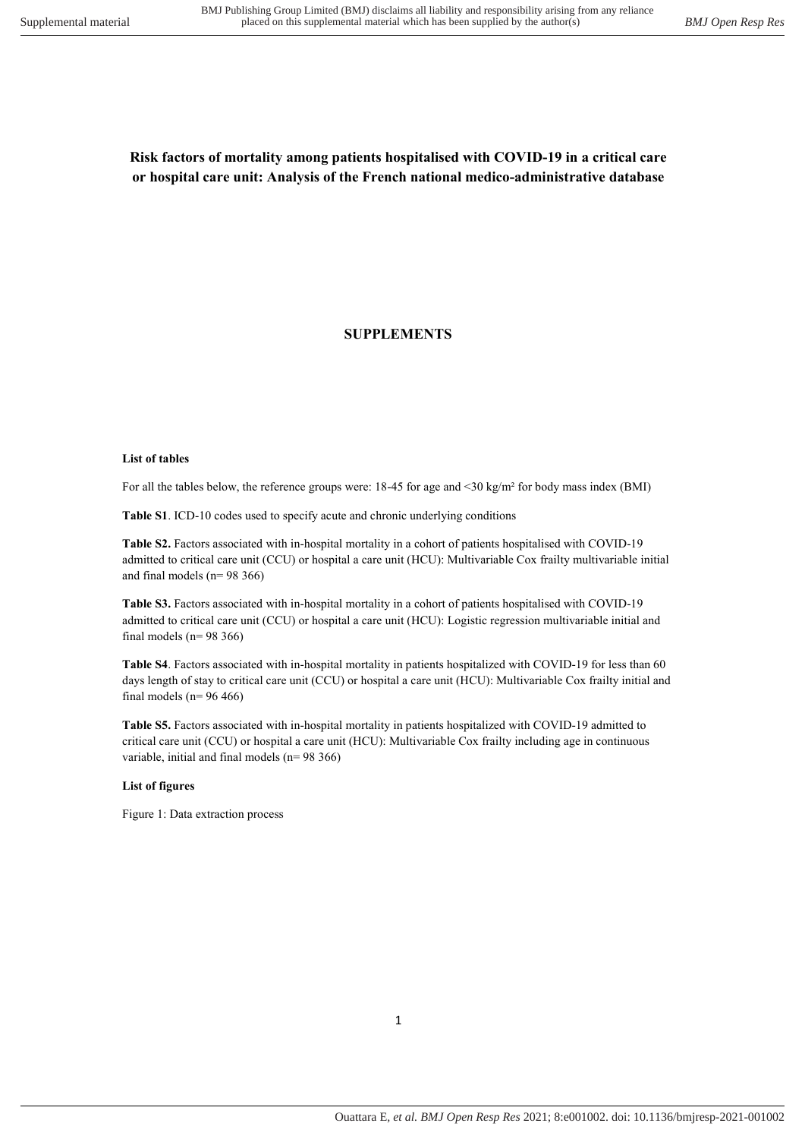# Risk factors of mortality among patients hospitalised with COVID-19 in a critical care or hospital care unit: Analysis of the French national medico-administrative database

# SUPPLEMENTS

#### List of tables

For all the tables below, the reference groups were: 18-45 for age and <30 kg/m<sup>2</sup> for body mass index (BMI)

Table S1. ICD-10 codes used to specify acute and chronic underlying conditions

Table S2. Factors associated with in-hospital mortality in a cohort of patients hospitalised with COVID-19 admitted to critical care unit (CCU) or hospital a care unit (HCU): Multivariable Cox frailty multivariable initial and final models (n= 98 366)

Table S3. Factors associated with in-hospital mortality in a cohort of patients hospitalised with COVID-19 admitted to critical care unit (CCU) or hospital a care unit (HCU): Logistic regression multivariable initial and final models ( $n= 98$  366)

Table S4. Factors associated with in-hospital mortality in patients hospitalized with COVID-19 for less than 60 days length of stay to critical care unit (CCU) or hospital a care unit (HCU): Multivariable Cox frailty initial and final models ( $n= 96 466$ )

Table S5. Factors associated with in-hospital mortality in patients hospitalized with COVID-19 admitted to critical care unit (CCU) or hospital a care unit (HCU): Multivariable Cox frailty including age in continuous variable, initial and final models (n= 98 366)

#### List of figures

Figure 1: Data extraction process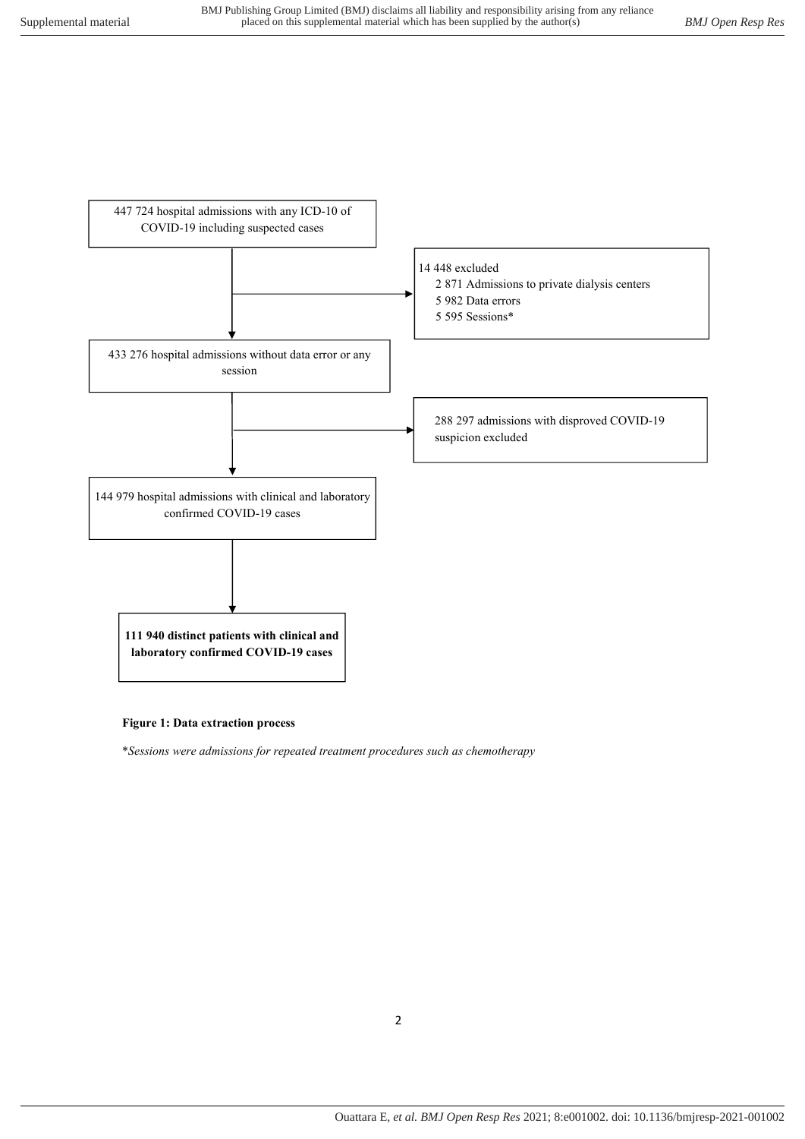

#### Figure 1: Data extraction process

\*Sessions were admissions for repeated treatment procedures such as chemotherapy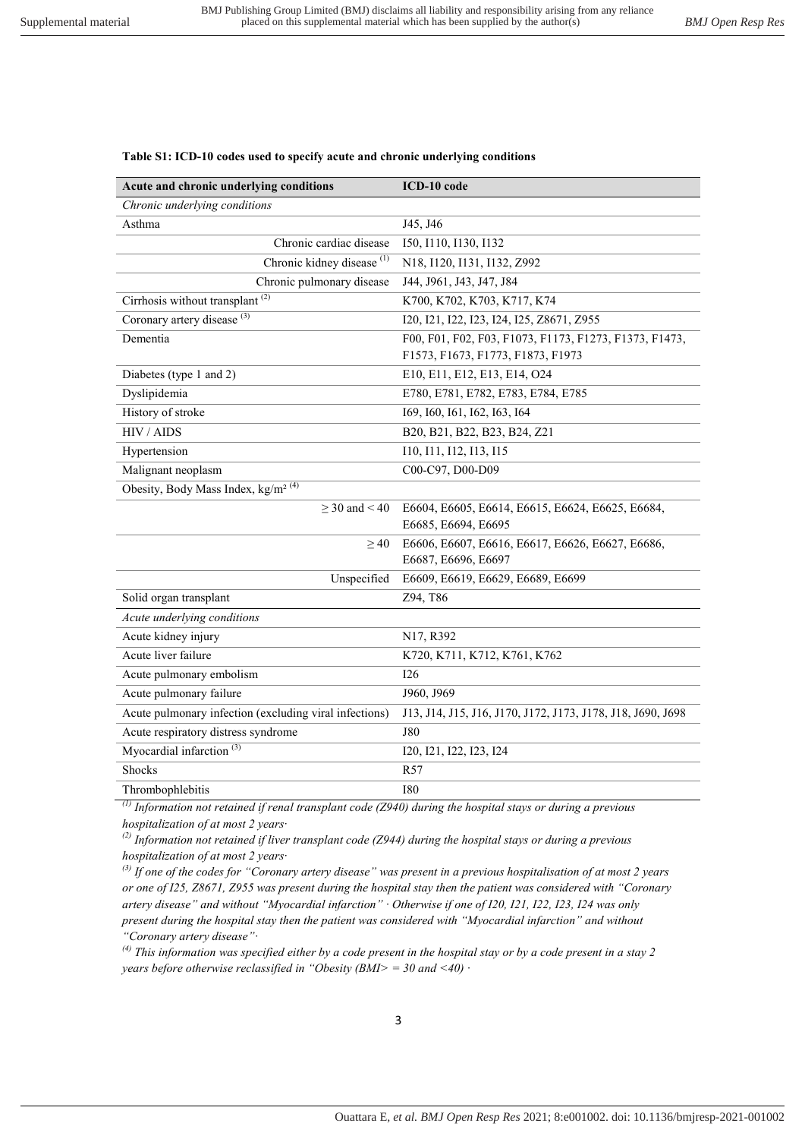### Table S1: ICD-10 codes used to specify acute and chronic underlying conditions

| Acute and chronic underlying conditions                | ICD-10 code                                                 |
|--------------------------------------------------------|-------------------------------------------------------------|
| Chronic underlying conditions                          |                                                             |
| Asthma                                                 | J45, J46                                                    |
| Chronic cardiac disease                                | 150, 1110, 1130, 1132                                       |
| Chronic kidney disease <sup>(1)</sup>                  | N18, I120, I131, I132, Z992                                 |
| Chronic pulmonary disease                              | J44, J961, J43, J47, J84                                    |
| Cirrhosis without transplant <sup>(2)</sup>            | K700, K702, K703, K717, K74                                 |
| Coronary artery disease <sup>(3)</sup>                 | I20, I21, I22, I23, I24, I25, Z8671, Z955                   |
| Dementia                                               | F00, F01, F02, F03, F1073, F1173, F1273, F1373, F1473,      |
|                                                        | F1573, F1673, F1773, F1873, F1973                           |
| Diabetes (type 1 and 2)                                | E10, E11, E12, E13, E14, O24                                |
| Dyslipidemia                                           | E780, E781, E782, E783, E784, E785                          |
| History of stroke                                      | 169, 160, 161, 162, 163, 164                                |
| HIV / AIDS                                             | B20, B21, B22, B23, B24, Z21                                |
| Hypertension                                           | 110, 111, 112, 113, 115                                     |
| Malignant neoplasm                                     | C00-C97, D00-D09                                            |
| Obesity, Body Mass Index, kg/m <sup>2 (4)</sup>        |                                                             |
| $>$ 30 and $<$ 40                                      | E6604, E6605, E6614, E6615, E6624, E6625, E6684,            |
|                                                        | E6685, E6694, E6695                                         |
| $\geq 40$                                              | E6606, E6607, E6616, E6617, E6626, E6627, E6686,            |
|                                                        | E6687, E6696, E6697                                         |
| Unspecified                                            | E6609, E6619, E6629, E6689, E6699                           |
| Solid organ transplant                                 | Z94, T86                                                    |
| Acute underlying conditions                            |                                                             |
| Acute kidney injury                                    | N17, R392                                                   |
| Acute liver failure                                    | K720, K711, K712, K761, K762                                |
| Acute pulmonary embolism                               | 126                                                         |
| Acute pulmonary failure                                | J960, J969                                                  |
| Acute pulmonary infection (excluding viral infections) | J13, J14, J15, J16, J170, J172, J173, J178, J18, J690, J698 |
| Acute respiratory distress syndrome                    | <b>J80</b>                                                  |
| Myocardial infarction <sup>(3)</sup>                   | 120, 121, 122, 123, 124                                     |
| Shocks                                                 | R57                                                         |
| Thrombophlebitis                                       | <b>I80</b>                                                  |

 $\binom{(1)}{1}$  Information not retained if renal transplant code (Z940) during the hospital stays or during a previous hospitalization of at most 2 years·

 $^{(2)}$  Information not retained if liver transplant code (Z944) during the hospital stays or during a previous hospitalization of at most 2 years·

 $^{(3)}$  If one of the codes for "Coronary artery disease" was present in a previous hospitalisation of at most 2 years or one of I25, Z8671, Z955 was present during the hospital stay then the patient was considered with "Coronary artery disease" and without "Myocardial infarction" · Otherwise if one of I20, I21, I22, I23, I24 was only present during the hospital stay then the patient was considered with "Myocardial infarction" and without "Coronary artery disease"·

 $^{(4)}$  This information was specified either by a code present in the hospital stay or by a code present in a stay 2 years before otherwise reclassified in "Obesity  $(BMI$  = 30 and <40)  $\cdot$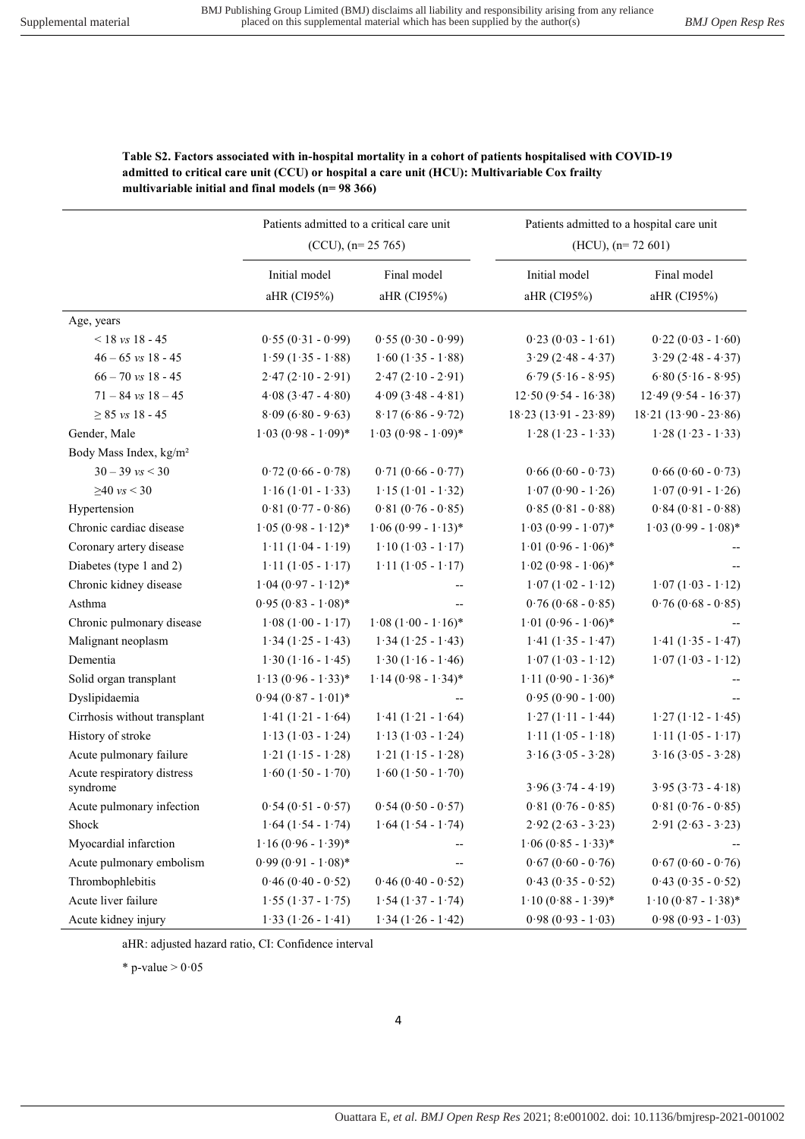Patients admitted to a hospital care unit

|                                        | $(CCU), (n=25 765)$          |                            | $(HCU)$ , $(n= 72, 601)$     |                            |
|----------------------------------------|------------------------------|----------------------------|------------------------------|----------------------------|
|                                        | Initial model<br>aHR (CI95%) | Final model<br>aHR (CI95%) | Initial model<br>aHR (CI95%) | Final model<br>aHR (CI95%) |
|                                        |                              |                            |                              |                            |
| Age, years                             |                              |                            |                              |                            |
| $< 18$ vs 18 - 45                      | $0.55(0.31 - 0.99)$          | $0.55(0.30 - 0.99)$        | $0.23(0.03 - 1.61)$          | $0.22(0.03 - 1.60)$        |
| $46 - 65$ vs 18 - 45                   | $1.59(1.35 - 1.88)$          | $1.60(1.35 - 1.88)$        | $3.29$ ( $2.48 - 4.37$ )     | $3.29(2.48 - 4.37)$        |
| $66 - 70$ vs $18 - 45$                 | $2.47(2.10 - 2.91)$          | $2.47(2.10 - 2.91)$        | $6.79(5.16 - 8.95)$          | $6.80(5.16 - 8.95)$        |
| $71 - 84$ vs $18 - 45$                 | $4.08(3.47 - 4.80)$          | $4.09(3.48 - 4.81)$        | $12.50(9.54 - 16.38)$        | $12.49(9.54 - 16.37)$      |
| $\geq 85$ vs 18 - 45                   | $8.09(6.80 - 9.63)$          | $8.17(6.86 - 9.72)$        | $18.23(13.91 - 23.89)$       | $18.21(13.90 - 23.86)$     |
| Gender, Male                           | $1.03 (0.98 - 1.09)$ *       | $1.03 (0.98 - 1.09)$ *     | $1.28(1.23 - 1.33)$          | $1.28(1.23 - 1.33)$        |
| Body Mass Index, kg/m <sup>2</sup>     |                              |                            |                              |                            |
| $30 - 39$ vs < 30                      | $0.72(0.66 - 0.78)$          | $0.71(0.66 - 0.77)$        | $0.66(0.60 - 0.73)$          | $0.66(0.60 - 0.73)$        |
| $≥40$ vs < 30                          | $1.16(1.01 - 1.33)$          | $1.15(1.01 - 1.32)$        | $1.07(0.90 - 1.26)$          | $1.07(0.91 - 1.26)$        |
| Hypertension                           | $0.81 (0.77 - 0.86)$         | $0.81 (0.76 - 0.85)$       | $0.85(0.81 - 0.88)$          | $0.84(0.81 - 0.88)$        |
| Chronic cardiac disease                | $1.05 (0.98 - 1.12)^*$       | $1.06 (0.99 - 1.13)^*$     | $1.03 (0.99 - 1.07)^*$       | $1.03 (0.99 - 1.08)$ *     |
| Coronary artery disease                | $1.11(1.04 - 1.19)$          | $1.10(1.03 - 1.17)$        | $1.01 (0.96 - 1.06)^*$       |                            |
| Diabetes (type 1 and 2)                | $1.11(1.05 - 1.17)$          | $1.11(1.05 - 1.17)$        | $1.02(0.98 - 1.06)^*$        |                            |
| Chronic kidney disease                 | $1.04 (0.97 - 1.12)^*$       |                            | $1.07(1.02 - 1.12)$          | $1.07(1.03 - 1.12)$        |
| Asthma                                 | $0.95 (0.83 - 1.08)^*$       | --                         | $0.76(0.68 - 0.85)$          | $0.76(0.68 - 0.85)$        |
| Chronic pulmonary disease              | $1.08(1.00 - 1.17)$          | $1.08 (1.00 - 1.16)^*$     | $1.01 (0.96 - 1.06)^*$       |                            |
| Malignant neoplasm                     | $1.34(1.25 - 1.43)$          | $1.34(1.25 - 1.43)$        | $1.41(1.35 - 1.47)$          | $1.41(1.35 - 1.47)$        |
| Dementia                               | $1.30(1.16 - 1.45)$          | $1.30(1.16 - 1.46)$        | $1.07(1.03 - 1.12)$          | $1.07(1.03 - 1.12)$        |
| Solid organ transplant                 | $1.13(0.96 - 1.33)^*$        | $1.14 (0.98 - 1.34)^*$     | $1.11(0.90 - 1.36)^*$        |                            |
| Dyslipidaemia                          | $0.94 (0.87 - 1.01)^*$       |                            | $0.95(0.90 - 1.00)$          |                            |
| Cirrhosis without transplant           | $1.41(1.21 - 1.64)$          | $1.41 (1.21 - 1.64)$       | $1.27(1.11 - 1.44)$          | $1.27(1.12 - 1.45)$        |
| History of stroke                      | $1.13(1.03 - 1.24)$          | $1.13(1.03 - 1.24)$        | $1.11 (1.05 - 1.18)$         | $1.11(1.05 - 1.17)$        |
| Acute pulmonary failure                | $1.21(1.15 - 1.28)$          | $1.21 (1.15 - 1.28)$       | $3.16$ ( $3.05 - 3.28$ )     | $3.16$ ( $3.05 - 3.28$ )   |
| Acute respiratory distress<br>syndrome | $1.60(1.50 - 1.70)$          | $1.60(1.50 - 1.70)$        | $3.96(3.74 - 4.19)$          | $3.95(3.73 - 4.18)$        |
| Acute pulmonary infection              | $0.54(0.51 - 0.57)$          | $0.54(0.50 - 0.57)$        | $0.81 (0.76 - 0.85)$         | $0.81 (0.76 - 0.85)$       |
| Shock                                  | $1.64(1.54 - 1.74)$          | $1.64$ $(1.54 - 1.74)$     | $2.92(2.63 - 3.23)$          | $2.91 (2.63 - 3.23)$       |
| Myocardial infarction                  | $1.16 (0.96 - 1.39)^*$       | --                         | $1.06 (0.85 - 1.33)*$        |                            |
| Acute pulmonary embolism               | $0.99(0.91 - 1.08)$ *        |                            | $0.67(0.60 - 0.76)$          | $0.67(0.60 - 0.76)$        |
| Thrombophlebitis                       | $0.46(0.40 - 0.52)$          | $0.46(0.40 - 0.52)$        | $0.43(0.35 - 0.52)$          | $0.43(0.35 - 0.52)$        |
| Acute liver failure                    | $1.55(1.37 - 1.75)$          | $1.54(1.37 - 1.74)$        | $1.10 (0.88 - 1.39)^*$       | $1.10 (0.87 - 1.38)^*$     |
| Acute kidney injury                    | $1.33(1.26 - 1.41)$          | $1.34(1.26 - 1.42)$        | $0.98(0.93 - 1.03)$          | $0.98(0.93 - 1.03)$        |

### Table S2. Factors associated with in-hospital mortality in a cohort of patients hospitalised with COVID-19 admitted to critical care unit (CCU) or hospital a care unit (HCU): Multivariable Cox frailty multivariable initial and final models (n= 98 366)

Patients admitted to a critical care unit

aHR: adjusted hazard ratio, CI: Confidence interval

\* p-value  $> 0.05$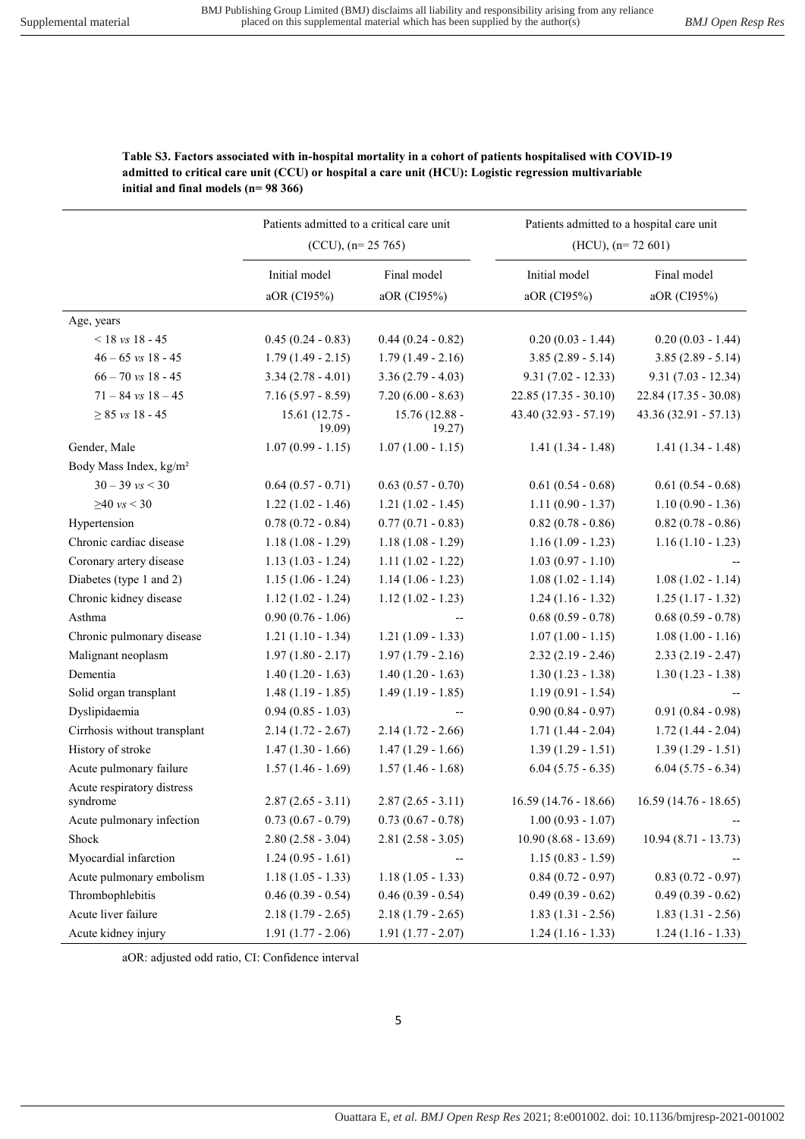|                                    | Patients admitted to a critical care unit<br>$(CCU)$ , $(n=25 765)$ |                            | Patients admitted to a hospital care unit |                            |  |
|------------------------------------|---------------------------------------------------------------------|----------------------------|-------------------------------------------|----------------------------|--|
|                                    |                                                                     |                            | $(HCU)$ , $(n= 72, 601)$                  |                            |  |
|                                    | Initial model                                                       | Final model<br>aOR (CI95%) | Initial model<br>aOR (CI95%)              | Final model<br>aOR (CI95%) |  |
|                                    | aOR (CI95%)                                                         |                            |                                           |                            |  |
| Age, years                         |                                                                     |                            |                                           |                            |  |
| $< 18$ vs 18 - 45                  | $0.45(0.24 - 0.83)$                                                 | $0.44(0.24 - 0.82)$        | $0.20(0.03 - 1.44)$                       | $0.20(0.03 - 1.44)$        |  |
| $46 - 65$ vs $18 - 45$             | $1.79(1.49 - 2.15)$                                                 | $1.79(1.49 - 2.16)$        | $3.85(2.89 - 5.14)$                       | $3.85(2.89 - 5.14)$        |  |
| $66 - 70$ vs $18 - 45$             | $3.34(2.78 - 4.01)$                                                 | $3.36(2.79 - 4.03)$        | $9.31(7.02 - 12.33)$                      | $9.31(7.03 - 12.34)$       |  |
| $71 - 84$ vs $18 - 45$             | $7.16(5.97 - 8.59)$                                                 | $7.20(6.00 - 8.63)$        | $22.85(17.35 - 30.10)$                    | 22.84 (17.35 - 30.08)      |  |
| $\geq 85$ vs 18 - 45               | $15.61(12.75 -$<br>19.09)                                           | 15.76 (12.88 -<br>19.27)   | 43.40 (32.93 - 57.19)                     | $43.36(32.91 - 57.13)$     |  |
| Gender, Male                       | $1.07(0.99 - 1.15)$                                                 | $1.07(1.00 - 1.15)$        | $1.41(1.34 - 1.48)$                       | $1.41(1.34 - 1.48)$        |  |
| Body Mass Index, kg/m <sup>2</sup> |                                                                     |                            |                                           |                            |  |
| $30 - 39$ vs $< 30$                | $0.64(0.57 - 0.71)$                                                 | $0.63(0.57 - 0.70)$        | $0.61(0.54 - 0.68)$                       | $0.61(0.54 - 0.68)$        |  |
| $≥40$ vs < 30                      | $1.22(1.02 - 1.46)$                                                 | $1.21(1.02 - 1.45)$        | $1.11(0.90 - 1.37)$                       | $1.10(0.90 - 1.36)$        |  |
| Hypertension                       | $0.78(0.72 - 0.84)$                                                 | $0.77(0.71 - 0.83)$        | $0.82(0.78 - 0.86)$                       | $0.82(0.78 - 0.86)$        |  |
| Chronic cardiac disease            | $1.18(1.08 - 1.29)$                                                 | $1.18(1.08 - 1.29)$        | $1.16(1.09 - 1.23)$                       | $1.16(1.10 - 1.23)$        |  |
| Coronary artery disease            | $1.13(1.03 - 1.24)$                                                 | $1.11(1.02 - 1.22)$        | $1.03(0.97 - 1.10)$                       |                            |  |
| Diabetes (type 1 and 2)            | $1.15(1.06 - 1.24)$                                                 | $1.14(1.06 - 1.23)$        | $1.08(1.02 - 1.14)$                       | $1.08(1.02 - 1.14)$        |  |
| Chronic kidney disease             | $1.12(1.02 - 1.24)$                                                 | $1.12(1.02 - 1.23)$        | $1.24(1.16 - 1.32)$                       | $1.25(1.17 - 1.32)$        |  |
| Asthma                             | $0.90(0.76 - 1.06)$                                                 |                            | $0.68(0.59 - 0.78)$                       | $0.68$ $(0.59 - 0.78)$     |  |
| Chronic pulmonary disease          | $1.21(1.10 - 1.34)$                                                 | $1.21(1.09 - 1.33)$        | $1.07(1.00 - 1.15)$                       | $1.08(1.00 - 1.16)$        |  |
| Malignant neoplasm                 | $1.97(1.80 - 2.17)$                                                 | $1.97(1.79 - 2.16)$        | $2.32(2.19 - 2.46)$                       | $2.33(2.19 - 2.47)$        |  |
| Dementia                           | $1.40(1.20 - 1.63)$                                                 | $1.40(1.20 - 1.63)$        | $1.30(1.23 - 1.38)$                       | $1.30(1.23 - 1.38)$        |  |
| Solid organ transplant             | $1.48(1.19 - 1.85)$                                                 | $1.49(1.19 - 1.85)$        | $1.19(0.91 - 1.54)$                       |                            |  |
| Dyslipidaemia                      | $0.94(0.85 - 1.03)$                                                 |                            | $0.90(0.84 - 0.97)$                       | $0.91(0.84 - 0.98)$        |  |
| Cirrhosis without transplant       | $2.14(1.72 - 2.67)$                                                 | $2.14(1.72 - 2.66)$        | $1.71(1.44 - 2.04)$                       | $1.72(1.44 - 2.04)$        |  |
| History of stroke                  | $1.47(1.30 - 1.66)$                                                 | $1.47(1.29 - 1.66)$        | $1.39(1.29 - 1.51)$                       | $1.39(1.29 - 1.51)$        |  |
| Acute pulmonary failure            | $1.57(1.46 - 1.69)$                                                 | $1.57(1.46 - 1.68)$        | $6.04$ $(5.75 - 6.35)$                    | $6.04$ $(5.75 - 6.34)$     |  |
| Acute respiratory distress         |                                                                     |                            |                                           |                            |  |
| syndrome                           | $2.87(2.65 - 3.11)$                                                 | $2.87(2.65 - 3.11)$        | $16.59(14.76 - 18.66)$                    | $16.59(14.76 - 18.65)$     |  |
| Acute pulmonary infection          | $0.73(0.67 - 0.79)$                                                 | $0.73(0.67 - 0.78)$        | $1.00(0.93 - 1.07)$                       |                            |  |
| Shock                              | $2.80(2.58 - 3.04)$                                                 | $2.81(2.58 - 3.05)$        | $10.90(8.68 - 13.69)$                     | $10.94(8.71 - 13.73)$      |  |
| Myocardial infarction              | $1.24(0.95 - 1.61)$                                                 |                            | $1.15(0.83 - 1.59)$                       |                            |  |
| Acute pulmonary embolism           | $1.18(1.05 - 1.33)$                                                 | $1.18(1.05 - 1.33)$        | $0.84(0.72 - 0.97)$                       | $0.83(0.72 - 0.97)$        |  |
| Thrombophlebitis                   | $0.46(0.39 - 0.54)$                                                 | $0.46(0.39 - 0.54)$        | $0.49(0.39 - 0.62)$                       | $0.49(0.39 - 0.62)$        |  |
| Acute liver failure                | $2.18(1.79 - 2.65)$                                                 | $2.18(1.79 - 2.65)$        | $1.83(1.31 - 2.56)$                       | $1.83(1.31 - 2.56)$        |  |
| Acute kidney injury                | $1.91(1.77 - 2.06)$                                                 | $1.91(1.77 - 2.07)$        | $1.24(1.16 - 1.33)$                       | $1.24(1.16 - 1.33)$        |  |

Table S3. Factors associated with in-hospital mortality in a cohort of patients hospitalised with COVID-19 admitted to critical care unit (CCU) or hospital a care unit (HCU): Logistic regression multivariable initial and final models (n= 98 366)

aOR: adjusted odd ratio, CI: Confidence interval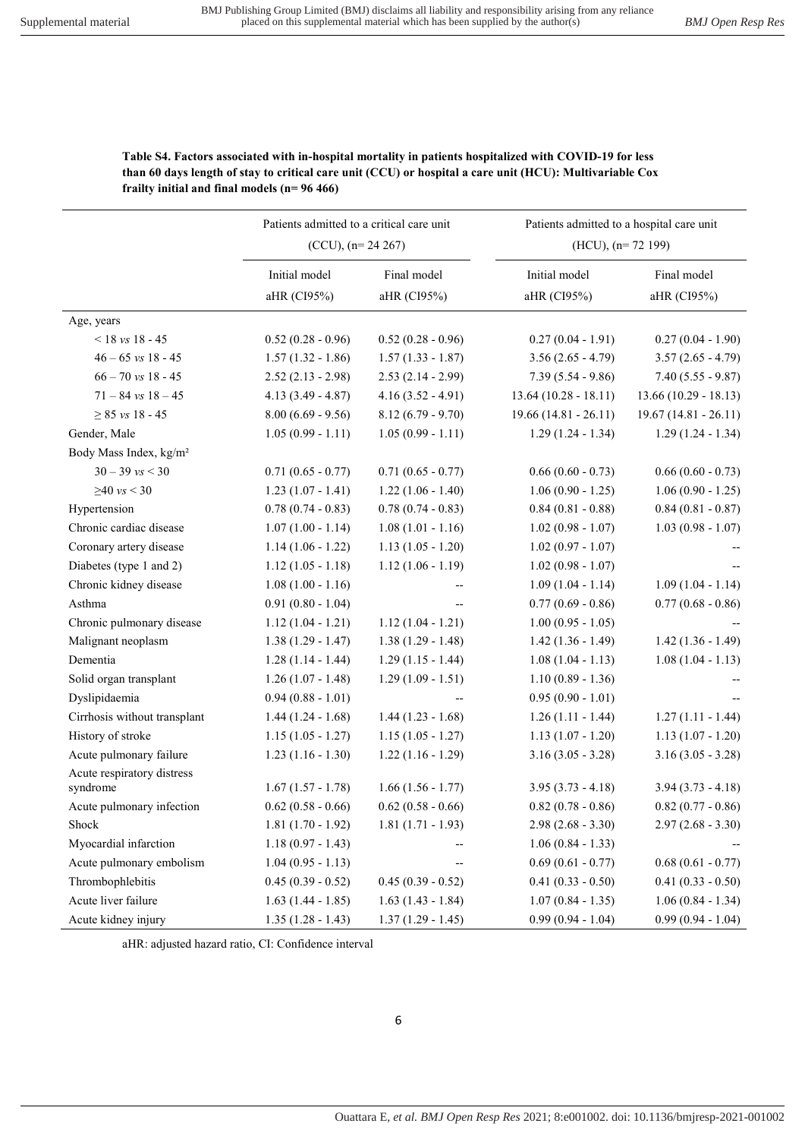|                                    | Patients admitted to a critical care unit |                            | Patients admitted to a hospital care unit |                            |  |
|------------------------------------|-------------------------------------------|----------------------------|-------------------------------------------|----------------------------|--|
|                                    |                                           | $(CCU)$ , $(n=24\ 267)$    |                                           | $(HCU)$ , $(n= 72 199)$    |  |
|                                    | Initial model                             | Final model<br>aHR (CI95%) | Initial model<br>aHR (CI95%)              | Final model<br>aHR (CI95%) |  |
|                                    | aHR (CI95%)                               |                            |                                           |                            |  |
| Age, years                         |                                           |                            |                                           |                            |  |
| $<$ 18 vs 18 - 45                  | $0.52(0.28 - 0.96)$                       | $0.52(0.28 - 0.96)$        | $0.27(0.04 - 1.91)$                       | $0.27(0.04 - 1.90)$        |  |
| $46 - 65$ vs $18 - 45$             | $1.57(1.32 - 1.86)$                       | $1.57(1.33 - 1.87)$        | $3.56(2.65 - 4.79)$                       | $3.57(2.65 - 4.79)$        |  |
| $66 - 70$ vs 18 - 45               | $2.52(2.13 - 2.98)$                       | $2.53(2.14 - 2.99)$        | $7.39(5.54 - 9.86)$                       | $7.40(5.55 - 9.87)$        |  |
| $71 - 84$ vs $18 - 45$             | $4.13(3.49 - 4.87)$                       | $4.16(3.52 - 4.91)$        | $13.64(10.28 - 18.11)$                    | $13.66(10.29 - 18.13)$     |  |
| $\geq 85$ vs 18 - 45               | $8.00(6.69 - 9.56)$                       | $8.12(6.79 - 9.70)$        | $19.66(14.81 - 26.11)$                    | $19.67(14.81 - 26.11)$     |  |
| Gender, Male                       | $1.05(0.99 - 1.11)$                       | $1.05(0.99 - 1.11)$        | $1.29(1.24 - 1.34)$                       | $1.29(1.24 - 1.34)$        |  |
| Body Mass Index, kg/m <sup>2</sup> |                                           |                            |                                           |                            |  |
| $30 - 39$ vs $< 30$                | $0.71(0.65 - 0.77)$                       | $0.71(0.65 - 0.77)$        | $0.66(0.60 - 0.73)$                       | $0.66(0.60 - 0.73)$        |  |
| $≥40$ vs < 30                      | $1.23(1.07 - 1.41)$                       | $1.22(1.06 - 1.40)$        | $1.06(0.90 - 1.25)$                       | $1.06(0.90 - 1.25)$        |  |
| Hypertension                       | $0.78(0.74 - 0.83)$                       | $0.78(0.74 - 0.83)$        | $0.84(0.81 - 0.88)$                       | $0.84(0.81 - 0.87)$        |  |
| Chronic cardiac disease            | $1.07(1.00 - 1.14)$                       | $1.08(1.01 - 1.16)$        | $1.02(0.98 - 1.07)$                       | $1.03(0.98 - 1.07)$        |  |
| Coronary artery disease            | $1.14(1.06 - 1.22)$                       | $1.13(1.05 - 1.20)$        | $1.02(0.97 - 1.07)$                       |                            |  |
| Diabetes (type 1 and 2)            | $1.12(1.05 - 1.18)$                       | $1.12(1.06 - 1.19)$        | $1.02(0.98 - 1.07)$                       |                            |  |
| Chronic kidney disease             | $1.08(1.00 - 1.16)$                       | --                         | $1.09(1.04 - 1.14)$                       | $1.09(1.04 - 1.14)$        |  |
| Asthma                             | $0.91(0.80 - 1.04)$                       |                            | $0.77(0.69 - 0.86)$                       | $0.77(0.68 - 0.86)$        |  |
| Chronic pulmonary disease          | $1.12(1.04 - 1.21)$                       | $1.12(1.04 - 1.21)$        | $1.00(0.95 - 1.05)$                       |                            |  |
| Malignant neoplasm                 | $1.38(1.29 - 1.47)$                       | $1.38(1.29 - 1.48)$        | $1.42(1.36 - 1.49)$                       | $1.42(1.36 - 1.49)$        |  |
| Dementia                           | $1.28(1.14 - 1.44)$                       | $1.29(1.15 - 1.44)$        | $1.08(1.04 - 1.13)$                       | $1.08(1.04 - 1.13)$        |  |
| Solid organ transplant             | $1.26(1.07 - 1.48)$                       | $1.29(1.09 - 1.51)$        | $1.10(0.89 - 1.36)$                       |                            |  |
| Dyslipidaemia                      | $0.94(0.88 - 1.01)$                       |                            | $0.95(0.90 - 1.01)$                       |                            |  |
| Cirrhosis without transplant       | $1.44(1.24 - 1.68)$                       | $1.44(1.23 - 1.68)$        | $1.26(1.11 - 1.44)$                       | $1.27(1.11 - 1.44)$        |  |
| History of stroke                  | $1.15(1.05 - 1.27)$                       | $1.15(1.05 - 1.27)$        | $1.13(1.07 - 1.20)$                       | $1.13(1.07 - 1.20)$        |  |
| Acute pulmonary failure            | $1.23(1.16 - 1.30)$                       | $1.22(1.16 - 1.29)$        | $3.16(3.05 - 3.28)$                       | $3.16(3.05 - 3.28)$        |  |
| Acute respiratory distress         |                                           |                            |                                           |                            |  |
| syndrome                           | $1.67(1.57 - 1.78)$                       | $1.66(1.56 - 1.77)$        | $3.95(3.73 - 4.18)$                       | $3.94(3.73 - 4.18)$        |  |
| Acute pulmonary infection          | $0.62(0.58 - 0.66)$                       | $0.62$ $(0.58 - 0.66)$     | $0.82(0.78 - 0.86)$                       | $0.82(0.77 - 0.86)$        |  |
| Shock                              | $1.81(1.70 - 1.92)$                       | $1.81(1.71 - 1.93)$        | $2.98(2.68 - 3.30)$                       | $2.97(2.68 - 3.30)$        |  |
| Myocardial infarction              | $1.18(0.97 - 1.43)$                       |                            | $1.06(0.84 - 1.33)$                       |                            |  |
| Acute pulmonary embolism           | $1.04(0.95 - 1.13)$                       |                            | $0.69(0.61 - 0.77)$                       | $0.68(0.61 - 0.77)$        |  |
| Thrombophlebitis                   | $0.45(0.39 - 0.52)$                       | $0.45(0.39 - 0.52)$        | $0.41(0.33 - 0.50)$                       | $0.41(0.33 - 0.50)$        |  |
| Acute liver failure                | $1.63(1.44 - 1.85)$                       | $1.63(1.43 - 1.84)$        | $1.07(0.84 - 1.35)$                       | $1.06(0.84 - 1.34)$        |  |
| Acute kidney injury                | $1.35(1.28 - 1.43)$                       | $1.37(1.29 - 1.45)$        | $0.99(0.94 - 1.04)$                       | $0.99(0.94 - 1.04)$        |  |

Table S4. Factors associated with in-hospital mortality in patients hospitalized with COVID-19 for less than 60 days length of stay to critical care unit (CCU) or hospital a care unit (HCU): Multivariable Cox frailty initial and final models (n= 96 466)

aHR: adjusted hazard ratio, CI: Confidence interval